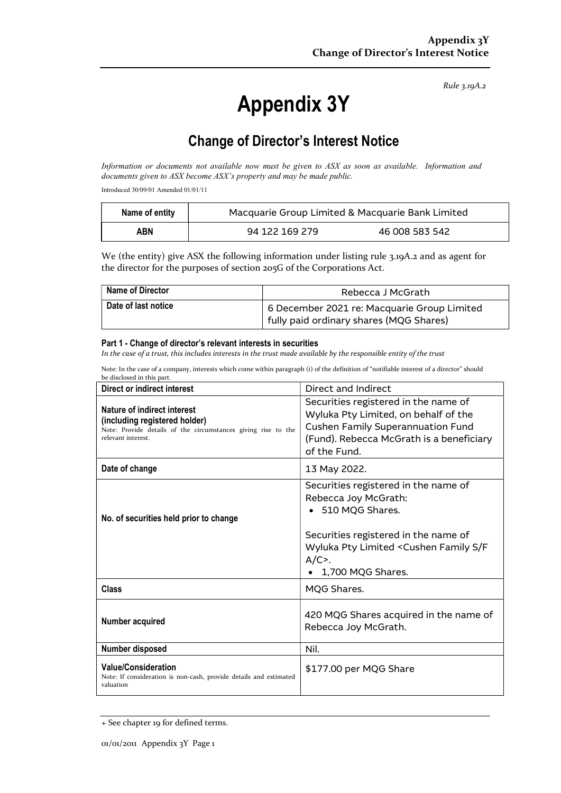Rule 3.19A.2

# Appendix 3Y

# Change of Director's Interest Notice

Information or documents not available now must be given to ASX as soon as available. Information and documents given to ASX become ASX's property and may be made public.

Introduced 30/09/01 Amended 01/01/11

| Name of entity | Macquarie Group Limited & Macquarie Bank Limited |                |
|----------------|--------------------------------------------------|----------------|
| ABN            | 94 122 169 279                                   | 46 008 583 542 |

We (the entity) give ASX the following information under listing rule 3.19A.2 and as agent for the director for the purposes of section 205G of the Corporations Act.

| Name of Director    | Rebecca J McGrath                                                                      |
|---------------------|----------------------------------------------------------------------------------------|
| Date of last notice | 6 December 2021 re: Macquarie Group Limited<br>fully paid ordinary shares (MQG Shares) |

#### Part 1 - Change of director's relevant interests in securities

In the case of a trust, this includes interests in the trust made available by the responsible entity of the trust

Note: In the case of a company, interests which come within paragraph (i) of the definition of "notifiable interest of a director" should be disclosed in this part.

| <b>Direct or indirect interest</b>                                                                                                                  | Direct and Indirect                                                                                                                                                                                                             |  |
|-----------------------------------------------------------------------------------------------------------------------------------------------------|---------------------------------------------------------------------------------------------------------------------------------------------------------------------------------------------------------------------------------|--|
| Nature of indirect interest<br>(including registered holder)<br>Note: Provide details of the circumstances giving rise to the<br>relevant interest. | Securities registered in the name of<br>Wyluka Pty Limited, on behalf of the<br><b>Cushen Family Superannuation Fund</b><br>(Fund). Rebecca McGrath is a beneficiary<br>of the Fund.                                            |  |
| Date of change                                                                                                                                      | 13 May 2022.                                                                                                                                                                                                                    |  |
| No. of securities held prior to change                                                                                                              | Securities registered in the name of<br>Rebecca Joy McGrath:<br>• 510 MQG Shares.<br>Securities registered in the name of<br>Wyluka Pty Limited <cushen f<br="" family="" s=""><math>A/C</math>.<br/>1,700 MQG Shares.</cushen> |  |
| <b>Class</b>                                                                                                                                        | MQG Shares.                                                                                                                                                                                                                     |  |
| Number acquired                                                                                                                                     | 420 MQG Shares acquired in the name of<br>Rebecca Joy McGrath.                                                                                                                                                                  |  |
| Number disposed                                                                                                                                     | Nil.                                                                                                                                                                                                                            |  |
| <b>Value/Consideration</b><br>Note: If consideration is non-cash, provide details and estimated<br>valuation                                        | \$177.00 per MQG Share                                                                                                                                                                                                          |  |

<sup>+</sup> See chapter 19 for defined terms.